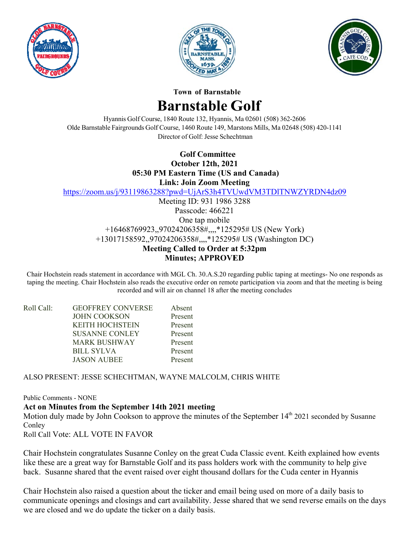





**Town of Barnstable** 

## **Barnstable Golf**

Hyannis Golf Course, 1840 Route 132, Hyannis, Ma 02601 (508) 362-2606 Olde Barnstable Fairgrounds Golf Course, 1460 Route 149, Marstons Mills, Ma 02648 (508) 420-1141 Director of Golf: Jesse Schechtman

**Golf Committee** 

**October 12th, 2021** 

05:30 PM Eastern Time (US and Canada)

**Link: Join Zoom Meeting** 

https://zoom.us/j/93119863288?pwd=UjArS3h4TVUwdVM3TDITNWZYRDN4dz09

Meeting ID: 931 1986 3288 Passcode: 466221 One tap mobile +16468769923,,97024206358#,,,,\*125295# US (New York) +13017158592,,97024206358#,,,,\*125295# US (Washington DC) **Meeting Called to Order at 5:32pm Minutes; APPROVED** 

Chair Hochstein reads statement in accordance with MGL Ch. 30.A.S.20 regarding public taping at meetings- No one responds as taping the meeting. Chair Hochstein also reads the executive order on remote participation via zoom and that the meeting is being recorded and will air on channel 18 after the meeting concludes

| Roll Call: | <b>GEOFFREY CONVERSE</b> | Absent  |
|------------|--------------------------|---------|
|            | <b>JOHN COOKSON</b>      | Present |
|            | <b>KEITH HOCHSTEIN</b>   | Present |
|            | <b>SUSANNE CONLEY</b>    | Present |
|            | <b>MARK BUSHWAY</b>      | Present |
|            | <b>BILL SYLVA</b>        | Present |
|            | <b>JASON AUBEE</b>       | Present |

ALSO PRESENT: JESSE SCHECHTMAN, WAYNE MALCOLM, CHRIS WHITE

**Public Comments - NONE** 

## Act on Minutes from the September 14th 2021 meeting

Motion duly made by John Cookson to approve the minutes of the September 14<sup>th</sup> 2021 seconded by Susanne Conley

Roll Call Vote: ALL VOTE IN FAVOR

Chair Hochstein congratulates Susanne Conley on the great Cuda Classic event. Keith explained how events like these are a great way for Barnstable Golf and its pass holders work with the community to help give back. Susanne shared that the event raised over eight thousand dollars for the Cuda center in Hyannis

Chair Hochstein also raised a question about the ticker and email being used on more of a daily basis to communicate openings and closings and cart availability. Jesse shared that we send reverse emails on the days we are closed and we do update the ticker on a daily basis.